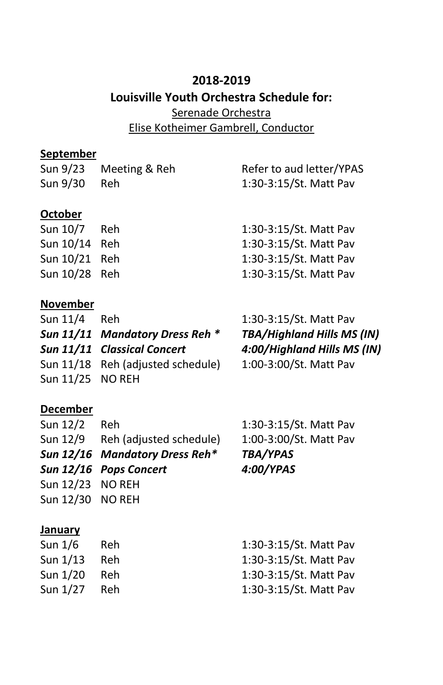# **2018-2019 Louisville Youth Orchestra Schedule for:** Serenade Orchestra Elise Kotheimer Gambrell, Conductor

## **September**

| Sun 9/23       | Meeting & Reh | Refer to aud letter/YPAS |
|----------------|---------------|--------------------------|
| Sun 9/30       | Reh           | 1:30-3:15/St. Matt Pav   |
|                |               |                          |
| <b>October</b> |               |                          |
| Sun 10/7 Reh   |               | 1:30-3:15/St. Matt Pav   |
| Sun 10/14 Reh  |               | 1:30-3:15/St. Matt Pav   |
| Sun 10/21 Reh  |               | 1:30-3:15/St. Matt Pav   |
| Sun 10/28 Reh  |               | 1:30-3:15/St. Matt Pav   |

#### **November**

| Sun 11/4         | Reh                               | 1:30-3:15/St. Matt Pav            |
|------------------|-----------------------------------|-----------------------------------|
|                  | Sun 11/11 Mandatory Dress Reh *   | <b>TBA/Highland Hills MS (IN)</b> |
|                  | Sun 11/11 Classical Concert       | 4:00/Highland Hills MS (IN)       |
|                  | Sun 11/18 Reh (adjusted schedule) | 1:00-3:00/St. Matt Pav            |
| Sun 11/25 NO REH |                                   |                                   |
|                  |                                   |                                   |

#### **December**

| Sun 12/2         | Reh                              | 1:30-3:15/St. Matt Pav |
|------------------|----------------------------------|------------------------|
|                  | Sun 12/9 Reh (adjusted schedule) | 1:00-3:00/St. Matt Pav |
|                  | Sun 12/16 Mandatory Dress Reh*   | <b>TBA/YPAS</b>        |
|                  | Sun 12/16 Pops Concert           | 4:00/YPAS              |
| Sun 12/23 NO REH |                                  |                        |
| Sun 12/30 NO REH |                                  |                        |
|                  |                                  |                        |
| January          |                                  |                        |
| Sun $1/6$        | Reh                              | 1:30-3:15/St. Matt Pav |
| Sun 1/13         | Reh                              | 1:30-3:15/St. Matt Pav |

Sun 1/27 Reh 1:30-3:15/St. Matt Pav

Sun 1/20 Reh 1:30-3:15/St. Matt Pav